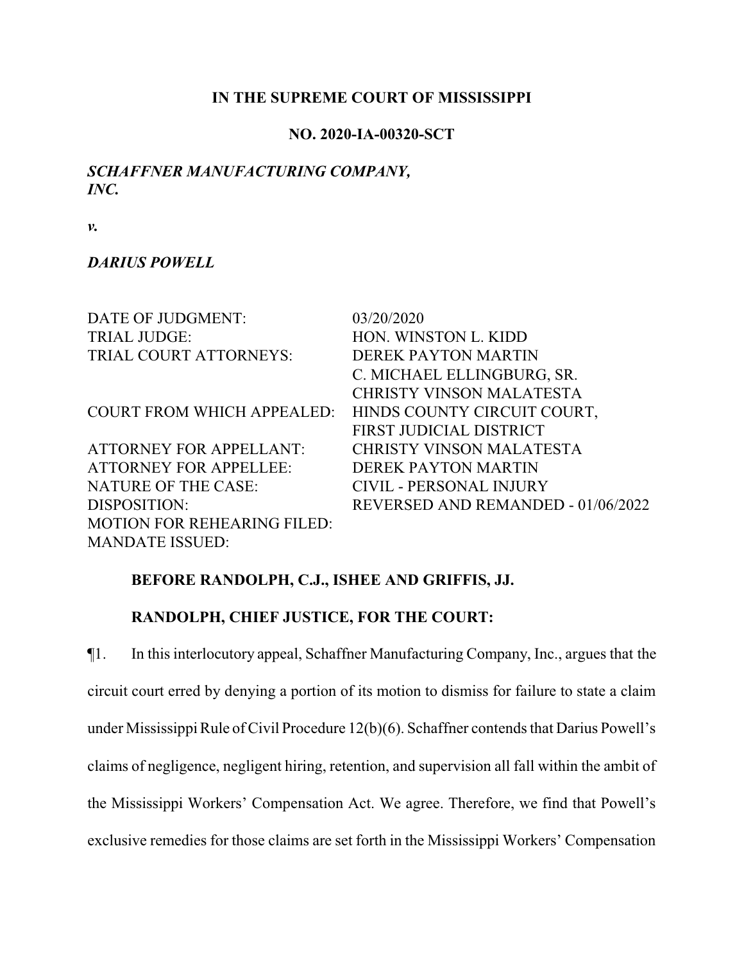### **IN THE SUPREME COURT OF MISSISSIPPI**

#### **NO. 2020-IA-00320-SCT**

## *SCHAFFNER MANUFACTURING COMPANY, INC.*

*v.*

#### *DARIUS POWELL*

| DATE OF JUDGMENT:                  | 03/20/2020                         |
|------------------------------------|------------------------------------|
| <b>TRIAL JUDGE:</b>                | HON. WINSTON L. KIDD               |
| TRIAL COURT ATTORNEYS:             | <b>DEREK PAYTON MARTIN</b>         |
|                                    | C. MICHAEL ELLINGBURG, SR.         |
|                                    | <b>CHRISTY VINSON MALATESTA</b>    |
| <b>COURT FROM WHICH APPEALED:</b>  | HINDS COUNTY CIRCUIT COURT,        |
|                                    | FIRST JUDICIAL DISTRICT            |
| <b>ATTORNEY FOR APPELLANT:</b>     | <b>CHRISTY VINSON MALATESTA</b>    |
| <b>ATTORNEY FOR APPELLEE:</b>      | DEREK PAYTON MARTIN                |
| <b>NATURE OF THE CASE:</b>         | <b>CIVIL - PERSONAL INJURY</b>     |
| DISPOSITION:                       | REVERSED AND REMANDED - 01/06/2022 |
| <b>MOTION FOR REHEARING FILED:</b> |                                    |
| <b>MANDATE ISSUED:</b>             |                                    |

### **BEFORE RANDOLPH, C.J., ISHEE AND GRIFFIS, JJ.**

## **RANDOLPH, CHIEF JUSTICE, FOR THE COURT:**

¶1. In this interlocutory appeal, Schaffner Manufacturing Company, Inc., argues that the circuit court erred by denying a portion of its motion to dismiss for failure to state a claim under Mississippi Rule of Civil Procedure 12(b)(6). Schaffner contends that Darius Powell's claims of negligence, negligent hiring, retention, and supervision all fall within the ambit of the Mississippi Workers' Compensation Act. We agree. Therefore, we find that Powell's exclusive remedies for those claims are set forth in the Mississippi Workers' Compensation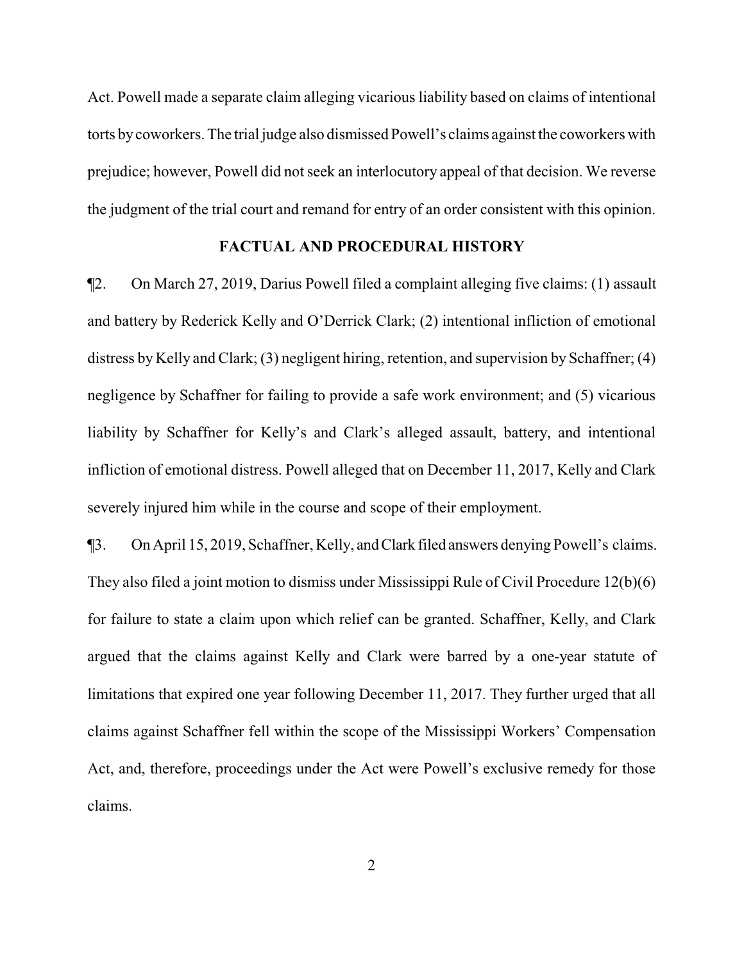Act. Powell made a separate claim alleging vicarious liability based on claims of intentional torts bycoworkers. The trial judge also dismissed Powell's claims against the coworkers with prejudice; however, Powell did not seek an interlocutory appeal of that decision. We reverse the judgment of the trial court and remand for entry of an order consistent with this opinion.

#### **FACTUAL AND PROCEDURAL HISTORY**

¶2. On March 27, 2019, Darius Powell filed a complaint alleging five claims: (1) assault and battery by Rederick Kelly and O'Derrick Clark; (2) intentional infliction of emotional distress by Kelly and Clark; (3) negligent hiring, retention, and supervision by Schaffner; (4) negligence by Schaffner for failing to provide a safe work environment; and (5) vicarious liability by Schaffner for Kelly's and Clark's alleged assault, battery, and intentional infliction of emotional distress. Powell alleged that on December 11, 2017, Kelly and Clark severely injured him while in the course and scope of their employment.

¶3. On April 15, 2019, Schaffner, Kelly, andClark filed answers denying Powell's claims. They also filed a joint motion to dismiss under Mississippi Rule of Civil Procedure 12(b)(6) for failure to state a claim upon which relief can be granted. Schaffner, Kelly, and Clark argued that the claims against Kelly and Clark were barred by a one-year statute of limitations that expired one year following December 11, 2017. They further urged that all claims against Schaffner fell within the scope of the Mississippi Workers' Compensation Act, and, therefore, proceedings under the Act were Powell's exclusive remedy for those claims.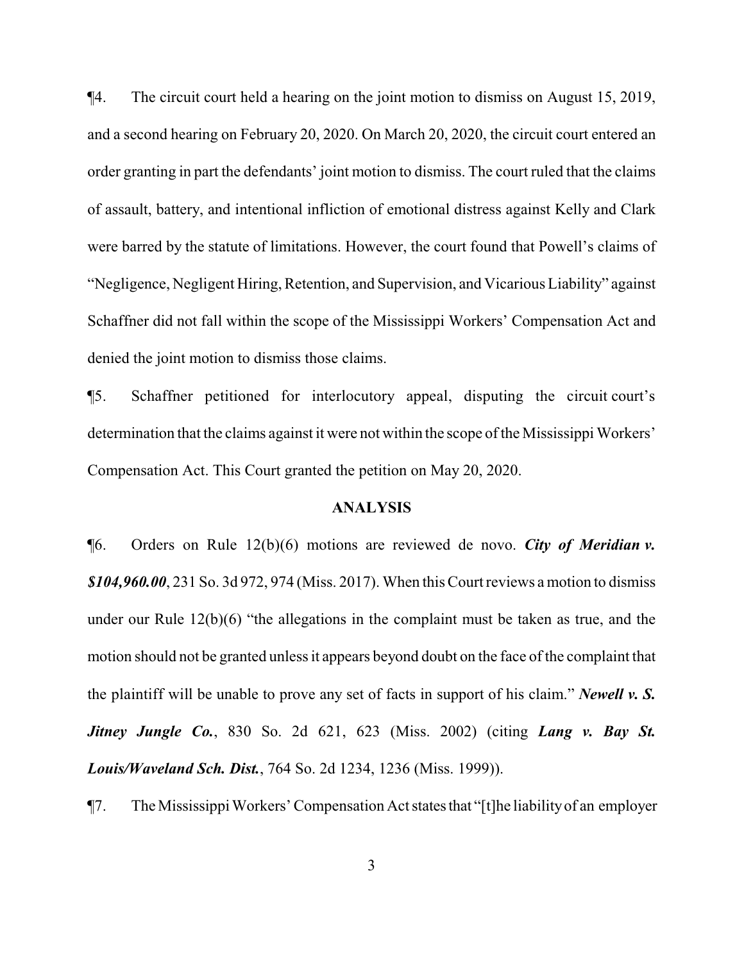¶4. The circuit court held a hearing on the joint motion to dismiss on August 15, 2019, and a second hearing on February 20, 2020. On March 20, 2020, the circuit court entered an order granting in part the defendants' joint motion to dismiss. The court ruled that the claims of assault, battery, and intentional infliction of emotional distress against Kelly and Clark were barred by the statute of limitations. However, the court found that Powell's claims of "Negligence, Negligent Hiring, Retention, and Supervision, and Vicarious Liability" against Schaffner did not fall within the scope of the Mississippi Workers' Compensation Act and denied the joint motion to dismiss those claims.

¶5. Schaffner petitioned for interlocutory appeal, disputing the circuit court's determination that the claims against it were not within the scope of the Mississippi Workers' Compensation Act. This Court granted the petition on May 20, 2020.

#### **ANALYSIS**

¶6. Orders on Rule 12(b)(6) motions are reviewed de novo. *City of Meridian v. \$104,960.00*, 231 So. 3d 972, 974 (Miss. 2017). When this Court reviews a motion to dismiss under our Rule 12(b)(6) "the allegations in the complaint must be taken as true, and the motion should not be granted unless it appears beyond doubt on the face of the complaint that the plaintiff will be unable to prove any set of facts in support of his claim." *Newell v. S. Jitney Jungle Co.*, 830 So. 2d 621, 623 (Miss. 2002) (citing *Lang v. Bay St. Louis/Waveland Sch. Dist.*, 764 So. 2d 1234, 1236 (Miss. 1999)).

¶7. The Mississippi Workers' Compensation Act statesthat "[t]he liabilityof an employer

3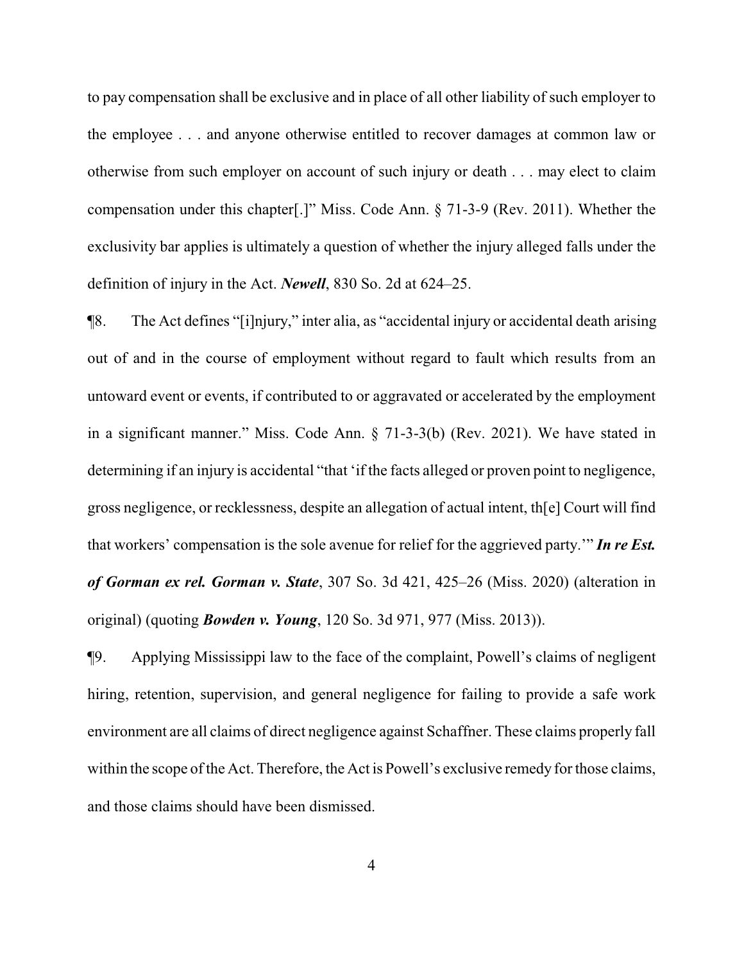to pay compensation shall be exclusive and in place of all other liability of such employer to the employee . . . and anyone otherwise entitled to recover damages at common law or otherwise from such employer on account of such injury or death . . . may elect to claim compensation under this chapter[.]" Miss. Code Ann. § 71-3-9 (Rev. 2011). Whether the exclusivity bar applies is ultimately a question of whether the injury alleged falls under the definition of injury in the Act. *Newell*, 830 So. 2d at 624–25.

¶8. The Act defines "[i]njury," inter alia, as "accidental injury or accidental death arising out of and in the course of employment without regard to fault which results from an untoward event or events, if contributed to or aggravated or accelerated by the employment in a significant manner." Miss. Code Ann. § 71-3-3(b) (Rev. 2021). We have stated in determining if an injury is accidental "that 'if the facts alleged or proven point to negligence, gross negligence, or recklessness, despite an allegation of actual intent, th[e] Court will find that workers' compensation is the sole avenue for relief for the aggrieved party.'" *In re Est. of Gorman ex rel. Gorman v. State*, 307 So. 3d 421, 425–26 (Miss. 2020) (alteration in original) (quoting *Bowden v. Young*, 120 So. 3d 971, 977 (Miss. 2013)).

¶9. Applying Mississippi law to the face of the complaint, Powell's claims of negligent hiring, retention, supervision, and general negligence for failing to provide a safe work environment are all claims of direct negligence against Schaffner. These claims properly fall within the scope of the Act. Therefore, the Act is Powell's exclusive remedy for those claims, and those claims should have been dismissed.